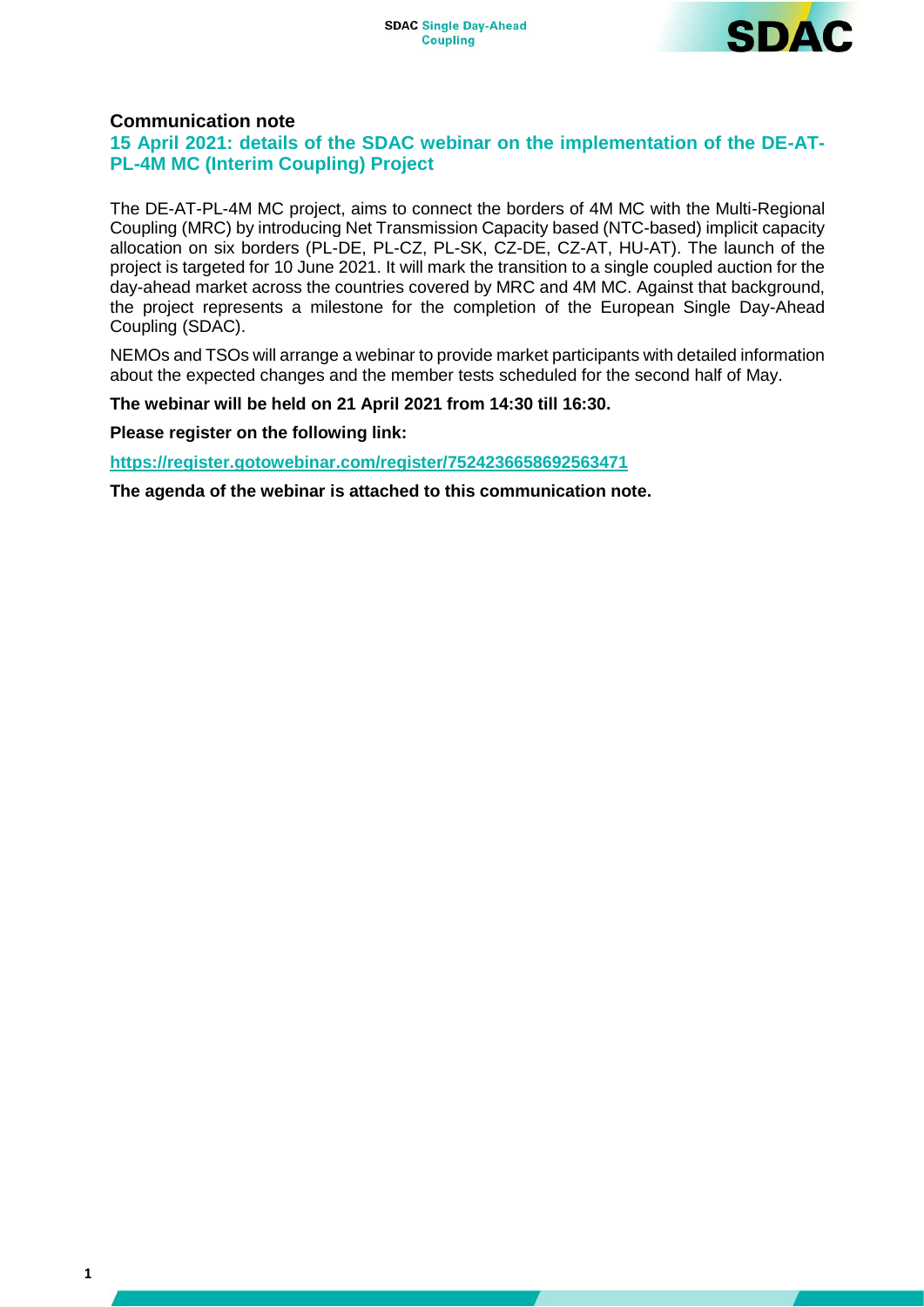

#### **Communication note**

### **15 April 2021: details of the SDAC webinar on the implementation of the DE-AT-PL-4M MC (Interim Coupling) Project**

The DE-AT-PL-4M MC project, aims to connect the borders of 4M MC with the Multi-Regional Coupling (MRC) by introducing Net Transmission Capacity based (NTC-based) implicit capacity allocation on six borders (PL-DE, PL-CZ, PL-SK, CZ-DE, CZ-AT, HU-AT). The launch of the project is targeted for 10 June 2021. It will mark the transition to a single coupled auction for the day-ahead market across the countries covered by MRC and 4M MC. Against that background, the project represents a milestone for the completion of the European Single Day-Ahead Coupling (SDAC).

NEMOs and TSOs will arrange a webinar to provide market participants with detailed information about the expected changes and the member tests scheduled for the second half of May.

**The webinar will be held on 21 April 2021 from 14:30 till 16:30.**

**Please register on the following link:** 

**<https://register.gotowebinar.com/register/7524236658692563471>**

**The agenda of the webinar is attached to this communication note.**